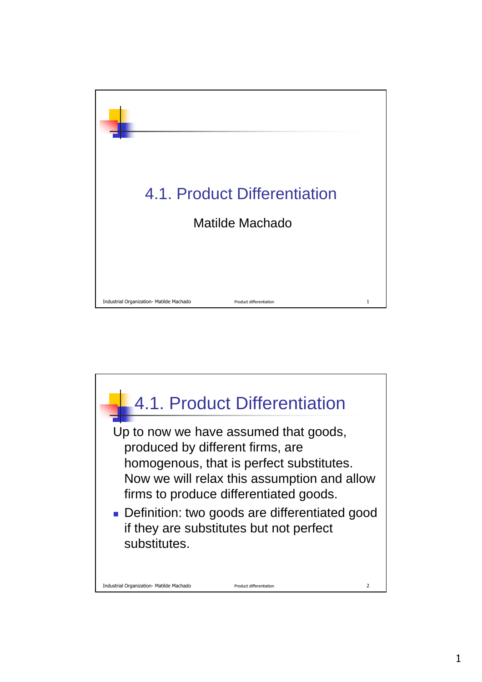

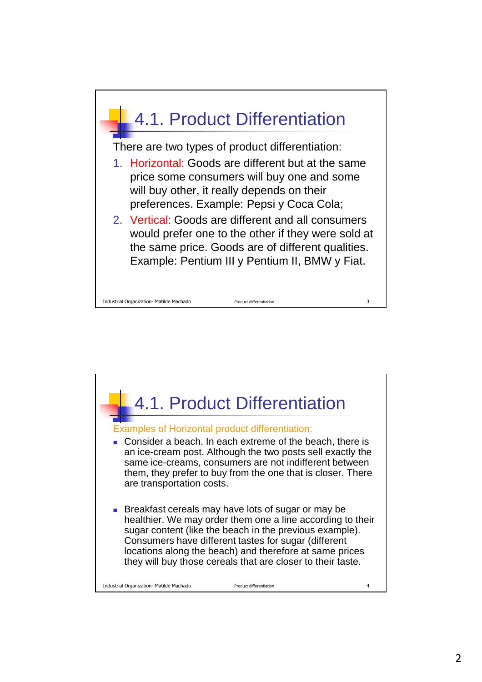